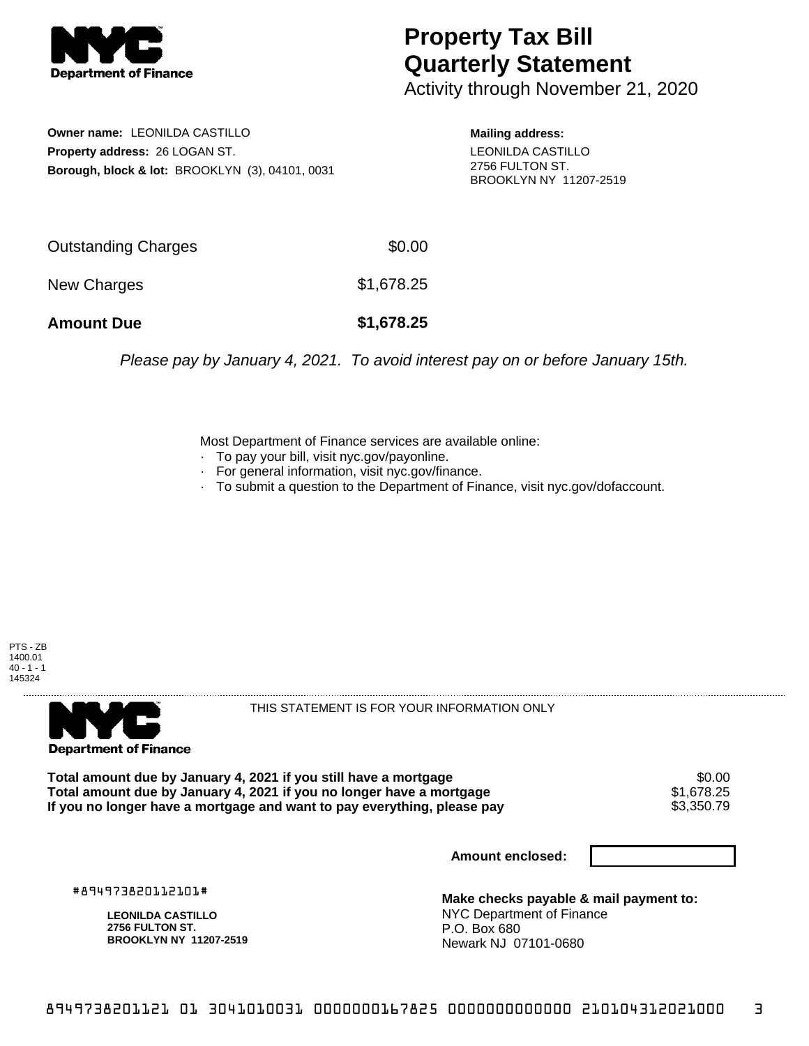

## **Property Tax Bill Quarterly Statement**

Activity through November 21, 2020

**Owner name:** LEONILDA CASTILLO **Property address:** 26 LOGAN ST. **Borough, block & lot:** BROOKLYN (3), 04101, 0031

**Mailing address:** LEONILDA CASTILLO 2756 FULTON ST. BROOKLYN NY 11207-2519

| <b>Amount Due</b>   | \$1,678.25 |
|---------------------|------------|
| New Charges         | \$1,678.25 |
| Outstanding Charges | \$0.00     |

Please pay by January 4, 2021. To avoid interest pay on or before January 15th.

Most Department of Finance services are available online:

- · To pay your bill, visit nyc.gov/payonline.
- For general information, visit nyc.gov/finance.
- · To submit a question to the Department of Finance, visit nyc.gov/dofaccount.





THIS STATEMENT IS FOR YOUR INFORMATION ONLY

Total amount due by January 4, 2021 if you still have a mortgage **\$0.00** \$0.00<br>Total amount due by January 4, 2021 if you no longer have a mortgage **\$1,678.25 Total amount due by January 4, 2021 if you no longer have a mortgage**  $$1,678.25$ **<br>If you no longer have a mortgage and want to pay everything, please pay**  $$3,350.79$ If you no longer have a mortgage and want to pay everything, please pay

**Amount enclosed:**

#894973820112101#

**LEONILDA CASTILLO 2756 FULTON ST. BROOKLYN NY 11207-2519**

**Make checks payable & mail payment to:** NYC Department of Finance P.O. Box 680 Newark NJ 07101-0680